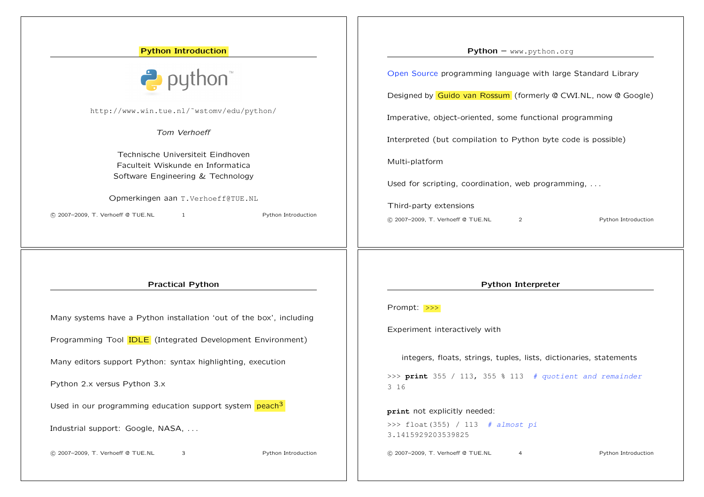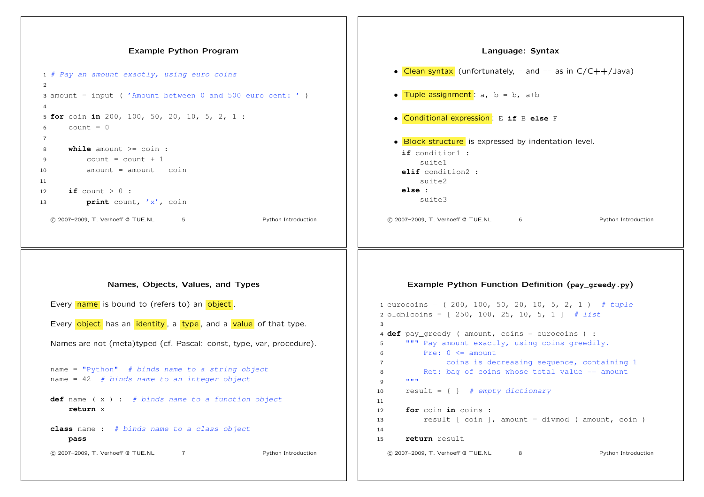### Example Python Program



# Language: Syntax • Clean syntax (unfortunately, = and == as in C/C++/Java) • Tuple assignment : a, b = b, a+b *•* Conditional expression : E **if** B **else** F • **Block structure** is expressed by indentation level. **if** condition1 : suite1 **elif** condition2 : suite2 **else** : suite3 !c 2007–2009, T. Verhoeff @ TUE.NL 6 Python Introduction

# Names, Objects, Values, and Types

Every name is bound to (refers to) an object. Every object has an identity, a type, and a value of that type. Names are not (meta)typed (cf. Pascal: const, type, var, procedure). name = "Python" *# binds name to a string object* name = 42 *# binds name to an integer object* **def** name ( x ) : *# binds name to a function object* **return** x **class** name : *# binds name to a class object* **pass** !c 2007–2009, T. Verhoeff @ TUE.NL 7 Python Introduction

## Example Python Function Definition (**pay\_greedy.py**)

```
1 eurocoins = ( 200, 100, 50, 20, 10, 5, 2, 1 ) # tuple
2 oldnlcoins = [ 250, 100, 25, 10, 5, 1 ] # list
3
4 def pay greedy ( amount, coins = eurocoins ) :
5 """ Pay amount exactly, using coins greedily.
6 Pre: 0 \leq amount
7 coins is decreasing sequence, containing 1
8 Ret: bag of coins whose total value == amount
9 """
10 result = { } # empty dictionary
11
12 for coin in coins :
13 result [ coin ], amount = divmod ( amount, coin )
14
15 return result
  !c 2007–2009, T. Verhoeff @ TUE.NL 8 Python Introduction
```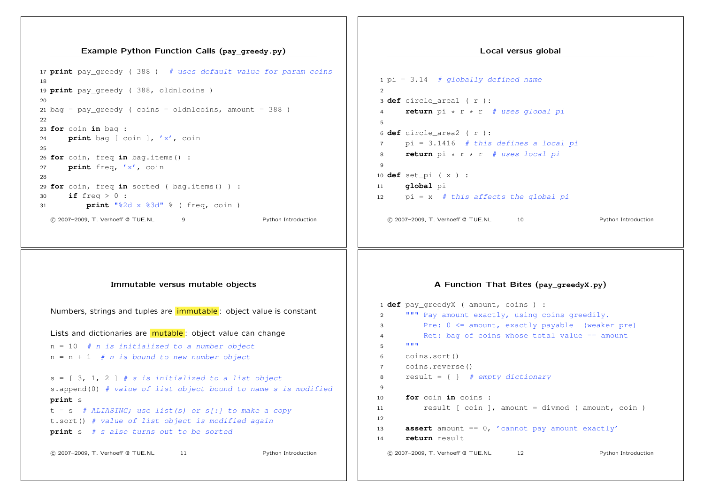#### Example Python Function Calls (**pay\_greedy.py**)

```
17 print pay_greedy ( 388 ) # uses default value for param coins
18
19 print pay_greedy ( 388, oldnlcoins )
20
21 bag = pay\_greedy ( coins = oldnlcoins, amount = 388 )
22
23 for coin in bag :
24 print bag [ coin ], 'x', coin
25
26 for coin, freq in bag.items() :
27 print freq, 'x', coin
28
29 for coin, freq in sorted ( bag.items() ) :
30 if freq > 0 :
31 print "%2d x %3d" % ( freq, coin )
  !c 2007–2009, T. Verhoeff @ TUE.NL 9 Python Introduction
```
# pi = 3.14 *# globally defined name* **def** circle\_area1 ( r ): **return** pi \* r \* r *# uses global pi*

Local versus global

 **def** circle\_area2 ( r ): pi = 3.1416 *# this defines a local pi* **return** pi \* r \* r *# uses local pi*  $\alpha$  **def** set\_pi ( x ) : **global** pi

- pi = x *# this affects the global pi*
	- !c 2007–2009, T. Verhoeff @ TUE.NL 10 Python Introduction

 $\mathfrak{D}$ 

# Immutable versus mutable objects

| Numbers, strings and tuples are <i>immutable</i> : object value is constant     |  |  |
|---------------------------------------------------------------------------------|--|--|
| Lists and dictionaries are <b>mutable</b> : object value can change             |  |  |
| $n = 10$ # n is initialized to a number object                                  |  |  |
| $n = n + 1$ # n is bound to new number object                                   |  |  |
|                                                                                 |  |  |
| $s = \begin{bmatrix} 3, 1, 2 \end{bmatrix}$ # s is initialized to a list object |  |  |
| s.append(0) # value of list object bound to name s is modified                  |  |  |
| print s                                                                         |  |  |
| $t = s$ # ALIASING; use list(s) or s[:] to make a copy                          |  |  |
| t.sort() # value of list object is modified again                               |  |  |
| <b>print</b> $s$ # $s$ also turns out to be sorted                              |  |  |
|                                                                                 |  |  |
| © 2007-2009, T. Verhoeff @ TUE.NL<br>Python Introduction<br>11                  |  |  |

# A Function That Bites (**pay\_greedyX.py**)

```
1 def pay_greedyX ( amount, coins ) :
2 """ Pay amount exactly, using coins greedily.
3 Pre: 0 <= amount, exactly payable (weaker pre)
4 Ret: bag of coins whose total value == amount
5 """"
6 coins.sort()
7 coins.reverse()
8 result = { } # empty dictionary
9
10 for coin in coins :
11 result [ coin ], amount = divmod ( amount, coin )
1213 assert amount == 0, 'cannot pay amount exactly'
14 return result
 !c 2007–2009, T. Verhoeff @ TUE.NL 12 Python Introduction
```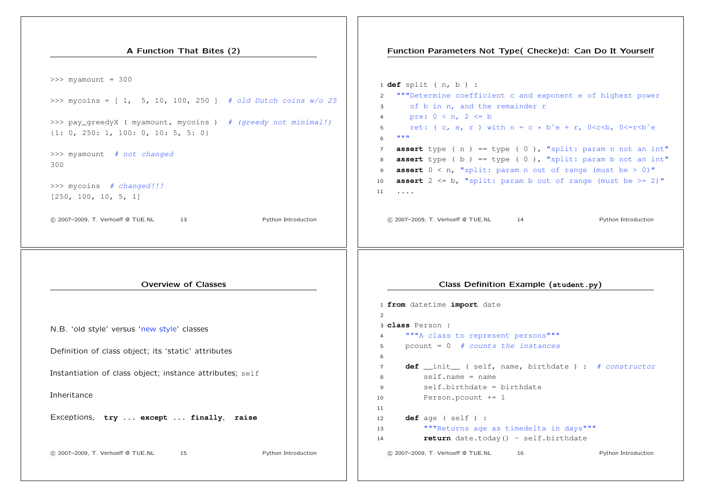| A Function That Bites (2)                                                                                                                                                                                                                                                                                                                                   | Function Parameters Not Type( Checke)d: Can Do It Yourself                                                                                                                                                                                                                                                                                                                                                                                                                                                                                                                                                                                                                                                                                                    |
|-------------------------------------------------------------------------------------------------------------------------------------------------------------------------------------------------------------------------------------------------------------------------------------------------------------------------------------------------------------|---------------------------------------------------------------------------------------------------------------------------------------------------------------------------------------------------------------------------------------------------------------------------------------------------------------------------------------------------------------------------------------------------------------------------------------------------------------------------------------------------------------------------------------------------------------------------------------------------------------------------------------------------------------------------------------------------------------------------------------------------------------|
| $>>$ myamount = 300<br>>>> mycoins = $[1, 5, 10, 100, 250]$ # old Dutch coins w/o 25<br>>>> pay_greedyX ( myamount, mycoins ) # (greedy not minimal!)<br>$\{1: 0, 250: 1, 100: 0, 10: 5, 5: 0\}$<br>>>> myamount # not changed<br>300<br>>>> mycoins # changed!!!<br>[250, 100, 10, 5, 1]<br>© 2007-2009, T. Verhoeff @ TUE.NL<br>Python Introduction<br>13 | $1$ def split ( $n, b$ ) :<br>"""Determine coefficient c and exponent e of highest power<br>2<br>of b in n, and the remainder r<br>$\mathbf{3}$<br>pre: $0 < n$ , $2 < = b$<br>$\overline{4}$<br>ret: (c, e, r) with $n = c * b^e + r$ , $0 < c < b$ , $0 < r < b^e$<br>5<br>$\mathbf{H}^{\dagger} \mathbf{H}^{\dagger} \mathbf{H}$<br>6<br><b>assert</b> type ( $n$ ) == type ( $0$ ), "split: param n not an int"<br>$\overline{7}$<br>assert type (b) == type (0), "split: param b not an int"<br>8<br><b>assert</b> $0 < n$ , "split: param n out of range (must be $> 0$ )"<br>9<br><b>assert</b> $2 \le b$ , "split: param b out of range (must be $> = 2$ )"<br>10<br>$\cdots$<br>11<br>© 2007-2009, T. Verhoeff @ TUE.NL<br>Python Introduction<br>14 |
|                                                                                                                                                                                                                                                                                                                                                             |                                                                                                                                                                                                                                                                                                                                                                                                                                                                                                                                                                                                                                                                                                                                                               |
| <b>Overview of Classes</b>                                                                                                                                                                                                                                                                                                                                  | Class Definition Example (student.py)                                                                                                                                                                                                                                                                                                                                                                                                                                                                                                                                                                                                                                                                                                                         |
| N.B. 'old style' versus 'new style' classes<br>Definition of class object; its 'static' attributes                                                                                                                                                                                                                                                          | 1 from datetime import date<br>$\overline{2}$<br>3 class Person :<br>"""A class to represent persons"""<br>$\overline{4}$<br>pcount = $0$ # counts the instances<br>5<br>6                                                                                                                                                                                                                                                                                                                                                                                                                                                                                                                                                                                    |
| Instantiation of class object; instance attributes; self                                                                                                                                                                                                                                                                                                    | def _init_ ( self, name, birthdate ) : # constructor<br>$\overline{7}$<br>$self.name = name$<br>8<br>self.birthdate = birthdate<br>9                                                                                                                                                                                                                                                                                                                                                                                                                                                                                                                                                                                                                          |
| Inheritance<br>Exceptions, try  except  finally, raise                                                                                                                                                                                                                                                                                                      | Person. pcount $+= 1$<br>10<br>11<br>def age ( self ) :<br>12<br>"""Returns age as timedelta in days"""<br>13<br>return date.today() - self.birthdate<br>14                                                                                                                                                                                                                                                                                                                                                                                                                                                                                                                                                                                                   |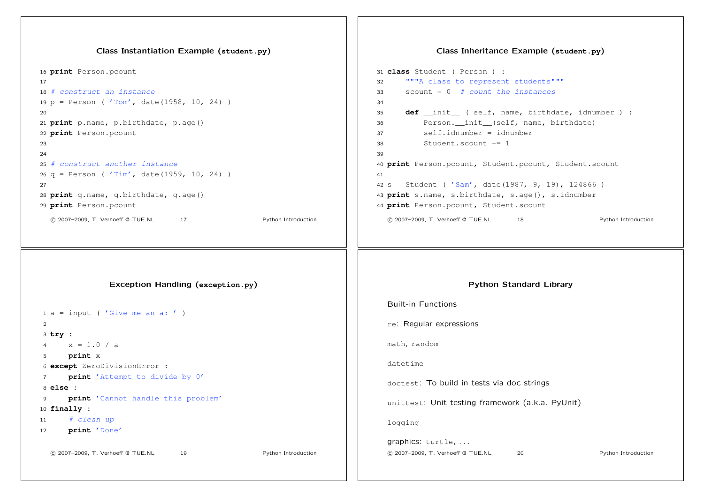Class Instantiation Example (**student.py**)

 **print** Person.pcount *# construct an instance* p = Person ( 'Tom', date(1958, 10, 24) ) **print** p.name, p.birthdate, p.age() **print** Person.pcount *# construct another instance* q = Person ( 'Tim', date(1959, 10, 24) ) **print** q.name, q.birthdate, q.age() **print** Person.pcount !c 2007–2009, T. Verhoeff @ TUE.NL 17 Python Introduction **class** Student ( Person ) : """A class to represent students""" scount = 0 *# count the instances* self.idnumber = idnumber Student.scount += 1 **print** Person.pcount, Student.scount Exception Handling (**exception.py**)  $1 a = input$  ( 'Give me an a: ') **try** : 4  $x = 1.0 / a$  **print** x **except** ZeroDivisionError : **print** 'Attempt to divide by 0' **else** : **print** 'Cannot handle this problem' **finally** : *# clean up* **print** 'Done' !c 2007–2009, T. Verhoeff @ TUE.NL 19 Python Introduction Built-in Functions re: Regular expressions math, random datetime doctest: To build in tests via doc strings unittest: Unit testing framework (a.k.a. PyUnit) logging graphics: turtle, . . . !c 2007–2009, T. Verhoeff @ TUE.NL 20 Python Introduction

#### Class Inheritance Example (**student.py**)

**def** init ( self, name, birthdate, idnumber ) : Person.\_\_init\_\_(self, name, birthdate) **print** Person.pcount, Student.pcount, Student.scount s = Student ( 'Sam', date(1987, 9, 19), 124866 ) **print** s.name, s.birthdate, s.age(), s.idnumber !c 2007–2009, T. Verhoeff @ TUE.NL 18 Python Introduction Python Standard Library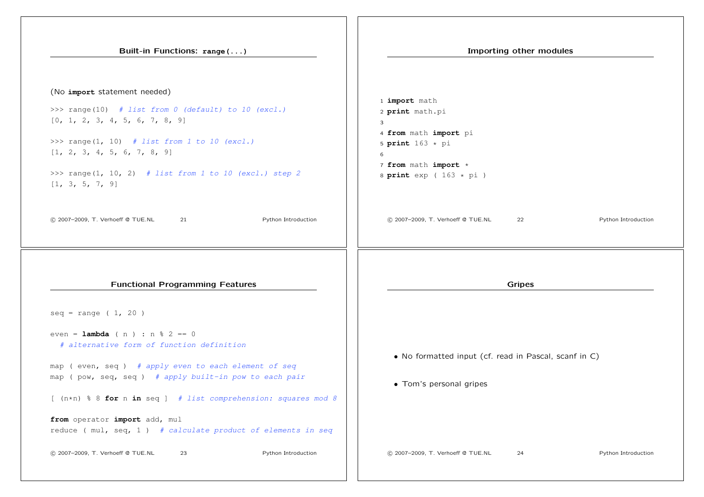| Built-in Functions: range()                                                                                                                                                                                                                                                                                                                                                               | Importing other modules                                                                                                                             |
|-------------------------------------------------------------------------------------------------------------------------------------------------------------------------------------------------------------------------------------------------------------------------------------------------------------------------------------------------------------------------------------------|-----------------------------------------------------------------------------------------------------------------------------------------------------|
| (No import statement needed)<br>>>> range(10) # list from $0$ (default) to $10$ (excl.)<br>[0, 1, 2, 3, 4, 5, 6, 7, 8, 9]<br>>>> range(1, 10) # list from 1 to 10 (excl.)<br>[1, 2, 3, 4, 5, 6, 7, 8, 9]<br>>>> range(1, 10, 2) # list from 1 to 10 (excl.) step 2<br>[1, 3, 5, 7, 9]                                                                                                     | 1 <i>import</i> math<br>2 print math.pi<br>3<br>4 from math import pi<br>5 print $163 * pi$<br>6<br>7 from math import *<br>8 print $exp(163 * pi)$ |
| Python Introduction<br>C 2007-2009, T. Verhoeff @ TUE.NL<br>21                                                                                                                                                                                                                                                                                                                            | Python Introduction<br>© 2007-2009, T. Verhoeff @ TUE.NL<br>22                                                                                      |
| <b>Functional Programming Features</b><br>$seq = range (1, 20)$                                                                                                                                                                                                                                                                                                                           | <b>Gripes</b>                                                                                                                                       |
| even = <b>lambda</b> ( n ) : n $\frac{1}{6}$ 2 == 0<br># alternative form of function definition<br>map (even, seq) # apply even to each element of seq<br>map (pow, seq, seq) # apply built-in pow to each pair<br>$[$ $(n*n)$ % 8 for n in seq ] # list comprehension: squares mod 8<br>from operator import add, mul<br>reduce ( $mu$ , seq, 1) # calculate product of elements in seq | • No formatted input (cf. read in Pascal, scanf in C)<br>• Tom's personal gripes                                                                    |
| C 2007-2009, T. Verhoeff @ TUE.NL<br>Python Introduction<br>23                                                                                                                                                                                                                                                                                                                            | © 2007-2009, T. Verhoeff @ TUE.NL<br>24<br>Python Introduction                                                                                      |